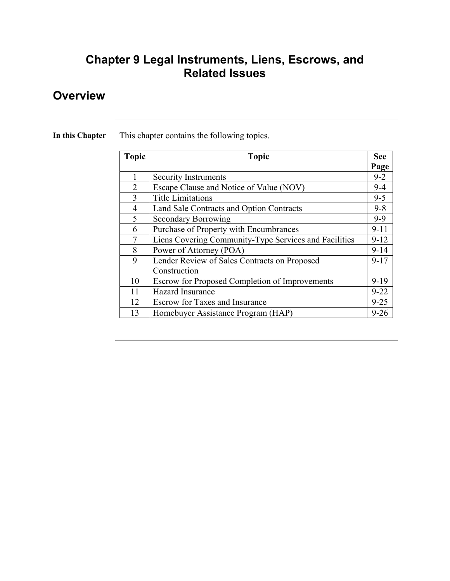### **Chapter 9 Legal Instruments, Liens, Escrows, and Related Issues**

### **Overview**

**In this Chapter** This chapter contains the following topics.

| <b>Topic</b>   | <b>Topic</b>                                          | See      |
|----------------|-------------------------------------------------------|----------|
|                |                                                       | Page     |
|                | <b>Security Instruments</b>                           | $9 - 2$  |
| 2              | Escape Clause and Notice of Value (NOV)               | $9 - 4$  |
| 3              | <b>Title Limitations</b>                              | $9 - 5$  |
| $\overline{4}$ | Land Sale Contracts and Option Contracts              | $9 - 8$  |
| 5              | <b>Secondary Borrowing</b>                            | $9 - 9$  |
| 6              | Purchase of Property with Encumbrances                | $9 - 11$ |
| 7              | Liens Covering Community-Type Services and Facilities | $9-12$   |
| 8              | Power of Attorney (POA)                               | $9 - 14$ |
| 9              | Lender Review of Sales Contracts on Proposed          | $9 - 17$ |
|                | Construction                                          |          |
| 10             | <b>Escrow for Proposed Completion of Improvements</b> | $9-19$   |
| 11             | <b>Hazard Insurance</b>                               | $9 - 22$ |
| 12             | <b>Escrow for Taxes and Insurance</b>                 | $9 - 25$ |
| 13             | Homebuyer Assistance Program (HAP)                    | $9 - 26$ |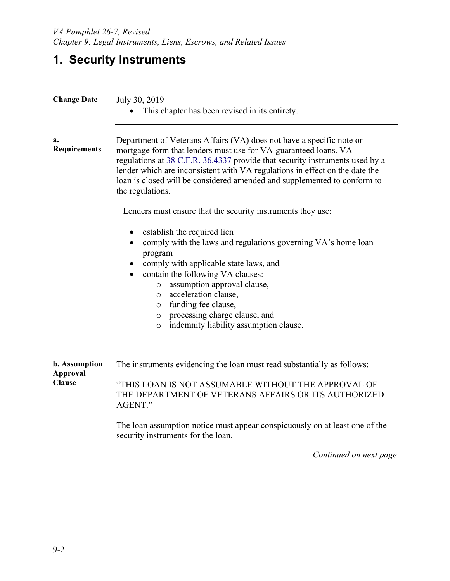# **1. Security Instruments**

| <b>Change Date</b>                                       | July 30, 2019<br>This chapter has been revised in its entirety.                                                                                                                                                                                                                                                                                                                                                |  |
|----------------------------------------------------------|----------------------------------------------------------------------------------------------------------------------------------------------------------------------------------------------------------------------------------------------------------------------------------------------------------------------------------------------------------------------------------------------------------------|--|
| a.<br><b>Requirements</b>                                | Department of Veterans Affairs (VA) does not have a specific note or<br>mortgage form that lenders must use for VA-guaranteed loans. VA<br>regulations at 38 C.F.R. 36.4337 provide that security instruments used by a<br>lender which are inconsistent with VA regulations in effect on the date the<br>loan is closed will be considered amended and supplemented to conform to<br>the regulations.         |  |
|                                                          | Lenders must ensure that the security instruments they use:                                                                                                                                                                                                                                                                                                                                                    |  |
|                                                          | establish the required lien<br>$\bullet$<br>comply with the laws and regulations governing VA's home loan<br>$\bullet$<br>program<br>comply with applicable state laws, and<br>contain the following VA clauses:<br>assumption approval clause,<br>$\circ$<br>acceleration clause,<br>$\circ$<br>o funding fee clause,<br>o processing charge clause, and<br>indemnity liability assumption clause.<br>$\circ$ |  |
| <b>b.</b> Assumption<br><b>Approval</b><br><b>Clause</b> | The instruments evidencing the loan must read substantially as follows:<br>"THIS LOAN IS NOT ASSUMABLE WITHOUT THE APPROVAL OF<br>THE DEPARTMENT OF VETERANS AFFAIRS OR ITS AUTHORIZED                                                                                                                                                                                                                         |  |
|                                                          | AGENT."<br>The loan assumption notice must appear conspicuously on at least one of the<br>security instruments for the loan.                                                                                                                                                                                                                                                                                   |  |
|                                                          |                                                                                                                                                                                                                                                                                                                                                                                                                |  |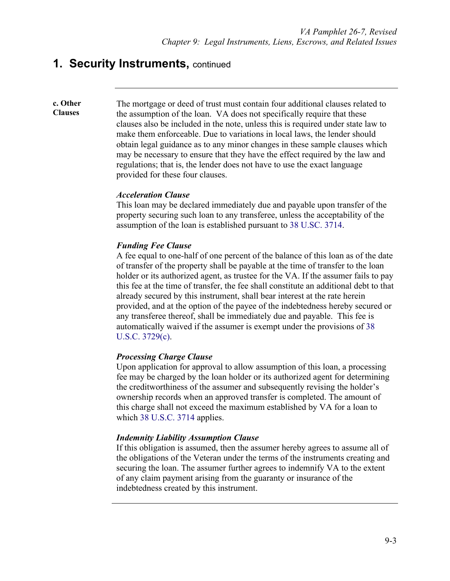### **1. Security Instruments, continued**

**c. Other Clauses**

The mortgage or deed of trust must contain four additional clauses related to the assumption of the loan. VA does not specifically require that these clauses also be included in the note, unless this is required under state law to make them enforceable. Due to variations in local laws, the lender should obtain legal guidance as to any minor changes in these sample clauses which may be necessary to ensure that they have the effect required by the law and regulations; that is, the lender does not have to use the exact language provided for these four clauses.

### *Acceleration Clause*

This loan may be declared immediately due and payable upon transfer of the property securing such loan to any transferee, unless the acceptability of the assumption of the loan is established pursuant to 38 U.SC. 3714.

### *Funding Fee Clause*

A fee equal to one-half of one percent of the balance of this loan as of the date of transfer of the property shall be payable at the time of transfer to the loan holder or its authorized agent, as trustee for the VA. If the assumer fails to pay this fee at the time of transfer, the fee shall constitute an additional debt to that already secured by this instrument, shall bear interest at the rate herein provided, and at the option of the payee of the indebtedness hereby secured or any transferee thereof, shall be immediately due and payable. This fee is automatically waived if the assumer is exempt under the provisions of 38 U.S.C. 3729(c).

#### *Processing Charge Clause*

Upon application for approval to allow assumption of this loan, a processing fee may be charged by the loan holder or its authorized agent for determining the creditworthiness of the assumer and subsequently revising the holder's ownership records when an approved transfer is completed. The amount of this charge shall not exceed the maximum established by VA for a loan to which 38 U.S.C. 3714 applies.

#### *Indemnity Liability Assumption Clause*

If this obligation is assumed, then the assumer hereby agrees to assume all of the obligations of the Veteran under the terms of the instruments creating and securing the loan. The assumer further agrees to indemnify VA to the extent of any claim payment arising from the guaranty or insurance of the indebtedness created by this instrument.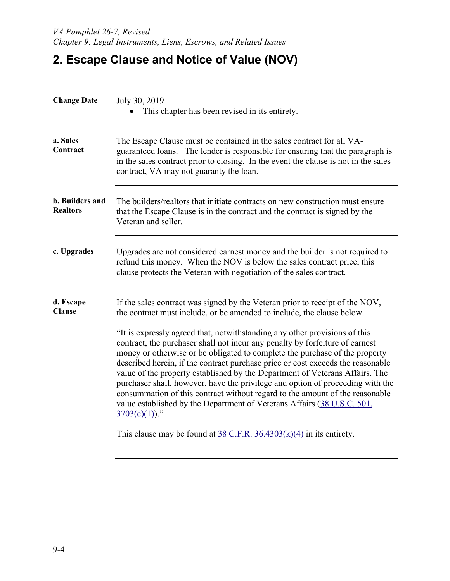## **2. Escape Clause and Notice of Value (NOV)**

| <b>Change Date</b>                        | July 30, 2019<br>This chapter has been revised in its entirety.                                                                                                                                                                                                                                                                                                                                                                                                                                                                                                                                                                                                                                                                                                                                                                        |  |
|-------------------------------------------|----------------------------------------------------------------------------------------------------------------------------------------------------------------------------------------------------------------------------------------------------------------------------------------------------------------------------------------------------------------------------------------------------------------------------------------------------------------------------------------------------------------------------------------------------------------------------------------------------------------------------------------------------------------------------------------------------------------------------------------------------------------------------------------------------------------------------------------|--|
| a. Sales<br>Contract                      | The Escape Clause must be contained in the sales contract for all VA-<br>guaranteed loans. The lender is responsible for ensuring that the paragraph is<br>in the sales contract prior to closing. In the event the clause is not in the sales<br>contract, VA may not guaranty the loan.                                                                                                                                                                                                                                                                                                                                                                                                                                                                                                                                              |  |
| <b>b.</b> Builders and<br><b>Realtors</b> | The builders/realtors that initiate contracts on new construction must ensure<br>that the Escape Clause is in the contract and the contract is signed by the<br>Veteran and seller.                                                                                                                                                                                                                                                                                                                                                                                                                                                                                                                                                                                                                                                    |  |
| c. Upgrades                               | Upgrades are not considered earnest money and the builder is not required to<br>refund this money. When the NOV is below the sales contract price, this<br>clause protects the Veteran with negotiation of the sales contract.                                                                                                                                                                                                                                                                                                                                                                                                                                                                                                                                                                                                         |  |
| d. Escape<br><b>Clause</b>                | If the sales contract was signed by the Veteran prior to receipt of the NOV,<br>the contract must include, or be amended to include, the clause below.<br>"It is expressly agreed that, notwithstanding any other provisions of this<br>contract, the purchaser shall not incur any penalty by forfeiture of earnest<br>money or otherwise or be obligated to complete the purchase of the property<br>described herein, if the contract purchase price or cost exceeds the reasonable<br>value of the property established by the Department of Veterans Affairs. The<br>purchaser shall, however, have the privilege and option of proceeding with the<br>consummation of this contract without regard to the amount of the reasonable<br>value established by the Department of Veterans Affairs (38 U.S.C. 501,<br>$3703(c)(1)$ ." |  |
|                                           | This clause may be found at $38$ C.F.R. $36.4303(k)(4)$ in its entirety.                                                                                                                                                                                                                                                                                                                                                                                                                                                                                                                                                                                                                                                                                                                                                               |  |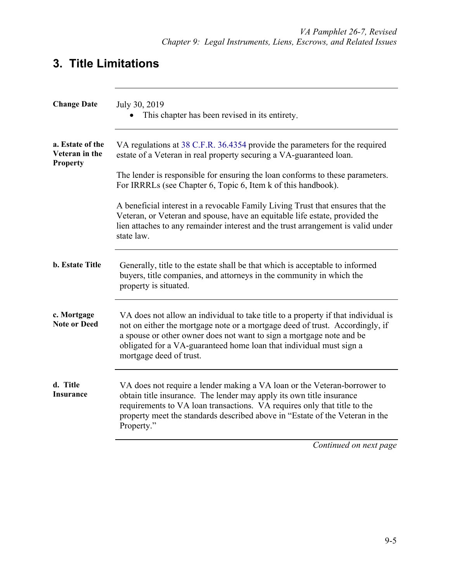## **3. Title Limitations**

| <b>Change Date</b>                                    | July 30, 2019<br>This chapter has been revised in its entirety.                                                                                                                                                                                                                                                                             |
|-------------------------------------------------------|---------------------------------------------------------------------------------------------------------------------------------------------------------------------------------------------------------------------------------------------------------------------------------------------------------------------------------------------|
| a. Estate of the<br>Veteran in the<br><b>Property</b> | VA regulations at 38 C.F.R. 36.4354 provide the parameters for the required<br>estate of a Veteran in real property securing a VA-guaranteed loan.                                                                                                                                                                                          |
|                                                       | The lender is responsible for ensuring the loan conforms to these parameters.<br>For IRRRLs (see Chapter 6, Topic 6, Item k of this handbook).                                                                                                                                                                                              |
|                                                       | A beneficial interest in a revocable Family Living Trust that ensures that the<br>Veteran, or Veteran and spouse, have an equitable life estate, provided the<br>lien attaches to any remainder interest and the trust arrangement is valid under<br>state law.                                                                             |
| <b>b.</b> Estate Title                                | Generally, title to the estate shall be that which is acceptable to informed<br>buyers, title companies, and attorneys in the community in which the<br>property is situated.                                                                                                                                                               |
| c. Mortgage<br><b>Note or Deed</b>                    | VA does not allow an individual to take title to a property if that individual is<br>not on either the mortgage note or a mortgage deed of trust. Accordingly, if<br>a spouse or other owner does not want to sign a mortgage note and be<br>obligated for a VA-guaranteed home loan that individual must sign a<br>mortgage deed of trust. |
| d. Title<br><b>Insurance</b>                          | VA does not require a lender making a VA loan or the Veteran-borrower to<br>obtain title insurance. The lender may apply its own title insurance<br>requirements to VA loan transactions. VA requires only that title to the<br>property meet the standards described above in "Estate of the Veteran in the<br>Property."                  |
|                                                       | Continued on next page                                                                                                                                                                                                                                                                                                                      |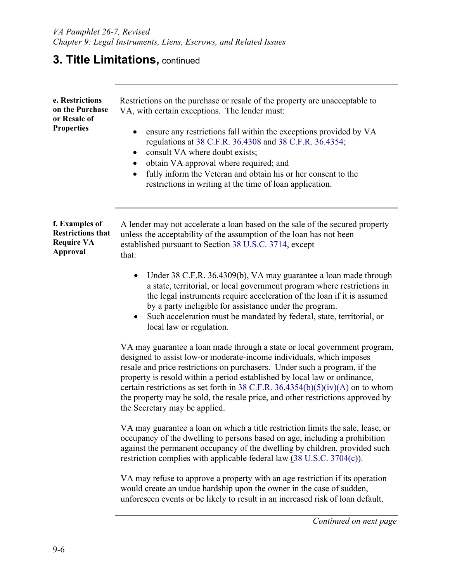## **3. Title Limitations, continued**

| e. Restrictions<br>on the Purchase<br>or Resale of<br><b>Properties</b>            | Restrictions on the purchase or resale of the property are unacceptable to<br>VA, with certain exceptions. The lender must:<br>ensure any restrictions fall within the exceptions provided by VA<br>regulations at 38 C.F.R. 36.4308 and 38 C.F.R. 36.4354;<br>consult VA where doubt exists;<br>$\bullet$<br>obtain VA approval where required; and<br>fully inform the Veteran and obtain his or her consent to the<br>$\bullet$<br>restrictions in writing at the time of loan application.                   |
|------------------------------------------------------------------------------------|------------------------------------------------------------------------------------------------------------------------------------------------------------------------------------------------------------------------------------------------------------------------------------------------------------------------------------------------------------------------------------------------------------------------------------------------------------------------------------------------------------------|
| f. Examples of<br><b>Restrictions that</b><br><b>Require VA</b><br><b>Approval</b> | A lender may not accelerate a loan based on the sale of the secured property<br>unless the acceptability of the assumption of the loan has not been<br>established pursuant to Section 38 U.S.C. 3714, except<br>that:                                                                                                                                                                                                                                                                                           |
|                                                                                    | Under 38 C.F.R. 36.4309(b), VA may guarantee a loan made through<br>$\bullet$<br>a state, territorial, or local government program where restrictions in<br>the legal instruments require acceleration of the loan if it is assumed<br>by a party ineligible for assistance under the program.<br>Such acceleration must be mandated by federal, state, territorial, or<br>local law or regulation.                                                                                                              |
|                                                                                    | VA may guarantee a loan made through a state or local government program,<br>designed to assist low-or moderate-income individuals, which imposes<br>resale and price restrictions on purchasers. Under such a program, if the<br>property is resold within a period established by local law or ordinance,<br>certain restrictions as set forth in 38 C.F.R. 36.4354(b)(5)(iv)(A) on to whom<br>the property may be sold, the resale price, and other restrictions approved by<br>the Secretary may be applied. |
|                                                                                    | VA may guarantee a loan on which a title restriction limits the sale, lease, or<br>occupancy of the dwelling to persons based on age, including a prohibition<br>against the permanent occupancy of the dwelling by children, provided such<br>restriction complies with applicable federal law (38 U.S.C. 3704(c)).                                                                                                                                                                                             |
|                                                                                    | VA may refuse to approve a property with an age restriction if its operation<br>would create an undue hardship upon the owner in the case of sudden,<br>unforeseen events or be likely to result in an increased risk of loan default.                                                                                                                                                                                                                                                                           |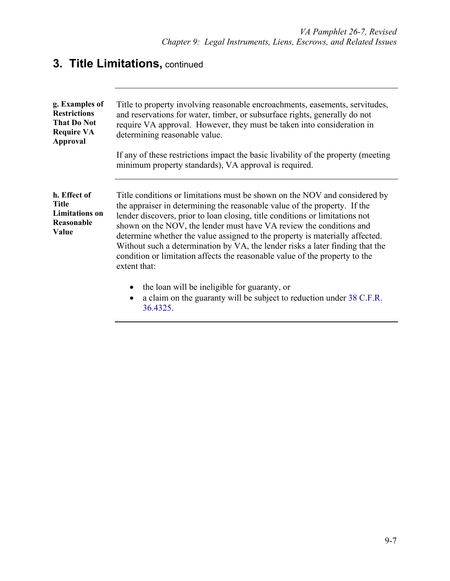# **3. Title Limitations,** continued

| g. Examples of<br><b>Restrictions</b><br><b>That Do Not</b><br><b>Require VA</b><br><b>Approval</b> | Title to property involving reasonable encroachments, easements, servitudes,<br>and reservations for water, timber, or subsurface rights, generally do not<br>require VA approval. However, they must be taken into consideration in<br>determining reasonable value.                                                                                                                                                                                                                                                                                                          |
|-----------------------------------------------------------------------------------------------------|--------------------------------------------------------------------------------------------------------------------------------------------------------------------------------------------------------------------------------------------------------------------------------------------------------------------------------------------------------------------------------------------------------------------------------------------------------------------------------------------------------------------------------------------------------------------------------|
|                                                                                                     | If any of these restrictions impact the basic livability of the property (meeting<br>minimum property standards), VA approval is required.                                                                                                                                                                                                                                                                                                                                                                                                                                     |
| h. Effect of<br><b>Title</b><br><b>Limitations</b> on<br>Reasonable<br>Value                        | Title conditions or limitations must be shown on the NOV and considered by<br>the appraiser in determining the reasonable value of the property. If the<br>lender discovers, prior to loan closing, title conditions or limitations not<br>shown on the NOV, the lender must have VA review the conditions and<br>determine whether the value assigned to the property is materially affected.<br>Without such a determination by VA, the lender risks a later finding that the<br>condition or limitation affects the reasonable value of the property to the<br>extent that: |
|                                                                                                     | the loan will be ineligible for guaranty, or<br>a claim on the guaranty will be subject to reduction under 38 C.F.R.<br>36.4325.                                                                                                                                                                                                                                                                                                                                                                                                                                               |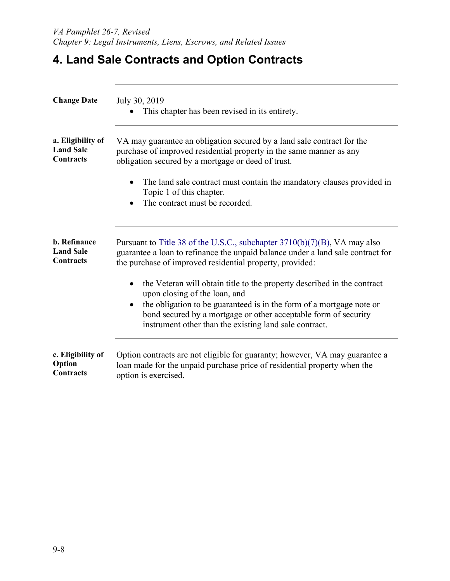## **4. Land Sale Contracts and Option Contracts**

| <b>Change Date</b>  | July 30, 2019<br>This chapter has been revised in its entirety.                                                                                                                                                                                                                                               |  |
|---------------------|---------------------------------------------------------------------------------------------------------------------------------------------------------------------------------------------------------------------------------------------------------------------------------------------------------------|--|
| a. Eligibility of   | VA may guarantee an obligation secured by a land sale contract for the                                                                                                                                                                                                                                        |  |
| <b>Land Sale</b>    | purchase of improved residential property in the same manner as any                                                                                                                                                                                                                                           |  |
| <b>Contracts</b>    | obligation secured by a mortgage or deed of trust.                                                                                                                                                                                                                                                            |  |
|                     | The land sale contract must contain the mandatory clauses provided in<br>Topic 1 of this chapter.<br>The contract must be recorded.                                                                                                                                                                           |  |
| <b>b.</b> Refinance | Pursuant to Title 38 of the U.S.C., subchapter $3710(b)(7)(B)$ , VA may also                                                                                                                                                                                                                                  |  |
| <b>Land Sale</b>    | guarantee a loan to refinance the unpaid balance under a land sale contract for                                                                                                                                                                                                                               |  |
| Contracts           | the purchase of improved residential property, provided:                                                                                                                                                                                                                                                      |  |
|                     | the Veteran will obtain title to the property described in the contract<br>upon closing of the loan, and<br>the obligation to be guaranteed is in the form of a mortgage note or<br>bond secured by a mortgage or other acceptable form of security<br>instrument other than the existing land sale contract. |  |
| c. Eligibility of   | Option contracts are not eligible for guaranty; however, VA may guarantee a                                                                                                                                                                                                                                   |  |
| Option              | loan made for the unpaid purchase price of residential property when the                                                                                                                                                                                                                                      |  |
| Contracts           | option is exercised.                                                                                                                                                                                                                                                                                          |  |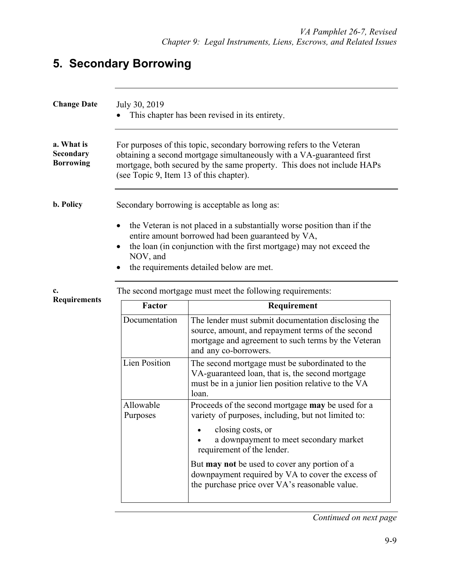## **5. Secondary Borrowing**

| <b>Change Date</b>                                 | July 30, 2019                           | This chapter has been revised in its entirety.                                                                                                                                                                                                   |
|----------------------------------------------------|-----------------------------------------|--------------------------------------------------------------------------------------------------------------------------------------------------------------------------------------------------------------------------------------------------|
| a. What is<br><b>Secondary</b><br><b>Borrowing</b> | (see Topic 9, Item 13 of this chapter). | For purposes of this topic, secondary borrowing refers to the Veteran<br>obtaining a second mortgage simultaneously with a VA-guaranteed first<br>mortgage, both secured by the same property. This does not include HAPs                        |
| <b>b.</b> Policy                                   |                                         | Secondary borrowing is acceptable as long as:                                                                                                                                                                                                    |
|                                                    | ٠<br>NOV, and                           | the Veteran is not placed in a substantially worse position than if the<br>entire amount borrowed had been guaranteed by VA,<br>the loan (in conjunction with the first mortgage) may not exceed the<br>the requirements detailed below are met. |
| c.<br><b>Requirements</b>                          |                                         | The second mortgage must meet the following requirements:                                                                                                                                                                                        |
|                                                    | Factor                                  | Requirement                                                                                                                                                                                                                                      |
|                                                    | Documentation                           | The lender must submit documentation disclosing the<br>source, amount, and repayment terms of the second<br>mortgage and agreement to such terms by the Veteran<br>and any co-borrowers.                                                         |
|                                                    | <b>Lien Position</b>                    | The second mortgage must be subordinated to the<br>VA-guaranteed loan, that is, the second mortgage<br>must be in a junior lien position relative to the VA<br>loan.                                                                             |
|                                                    | Allowable<br>Purposes                   | Proceeds of the second mortgage may be used for a<br>variety of purposes, including, but not limited to:                                                                                                                                         |
|                                                    |                                         | closing costs, or<br>a downpayment to meet secondary market<br>requirement of the lender.                                                                                                                                                        |
|                                                    |                                         | But may not be used to cover any portion of a<br>downpayment required by VA to cover the excess of<br>the purchase price over VA's reasonable value.                                                                                             |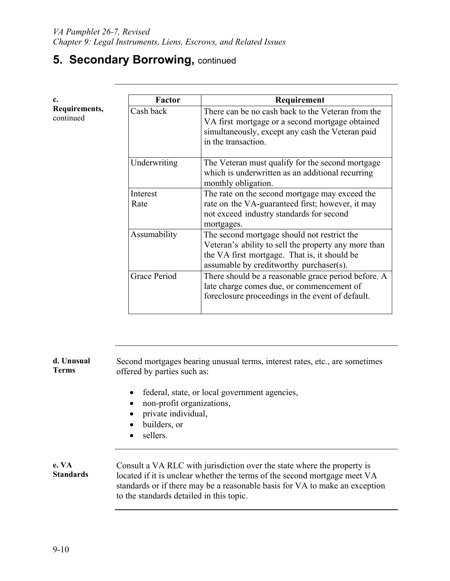# **5. Secondary Borrowing, continued**

| c.                         | Factor           | Requirement                                                                                                                                                                                    |
|----------------------------|------------------|------------------------------------------------------------------------------------------------------------------------------------------------------------------------------------------------|
| Requirements,<br>continued | Cash back        | There can be no cash back to the Veteran from the<br>VA first mortgage or a second mortgage obtained<br>simultaneously, except any cash the Veteran paid<br>in the transaction.                |
|                            | Underwriting     | The Veteran must qualify for the second mortgage<br>which is underwritten as an additional recurring<br>monthly obligation.                                                                    |
|                            | Interest<br>Rate | The rate on the second mortgage may exceed the<br>rate on the VA-guaranteed first; however, it may<br>not exceed industry standards for second<br>mortgages.                                   |
|                            | Assumability     | The second mortgage should not restrict the<br>Veteran's ability to sell the property any more than<br>the VA first mortgage. That is, it should be<br>assumable by creditworthy purchaser(s). |
|                            | Grace Period     | There should be a reasonable grace period before. A<br>late charge comes due, or commencement of<br>foreclosure proceedings in the event of default.                                           |

| d. Unusual<br>Terms | Second mortgages bearing unusual terms, interest rates, etc., are sometimes<br>offered by parties such as:                                                                                                                                                                      |  |  |
|---------------------|---------------------------------------------------------------------------------------------------------------------------------------------------------------------------------------------------------------------------------------------------------------------------------|--|--|
|                     | federal, state, or local government agencies,<br>non-profit organizations,<br>private individual,<br>builders, or<br>sellers.                                                                                                                                                   |  |  |
| e. VA<br>Standards  | Consult a VA RLC with jurisdiction over the state where the property is<br>located if it is unclear whether the terms of the second mortgage meet VA<br>standards or if there may be a reasonable basis for VA to make an exception<br>to the standards detailed in this topic. |  |  |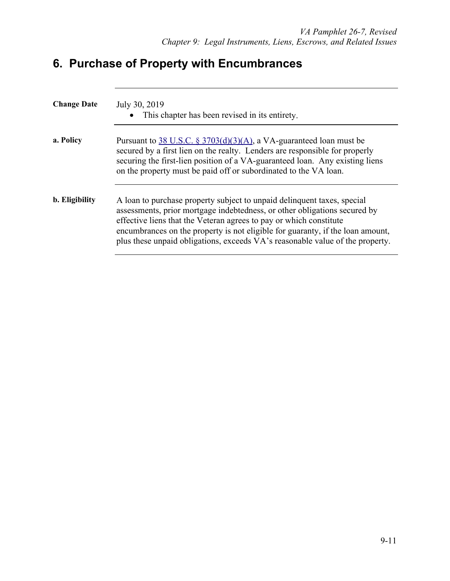# **6. Purchase of Property with Encumbrances**

| <b>Change Date</b> | July 30, 2019<br>This chapter has been revised in its entirety.                                                                                                                                                                                                                                                                                                                               |
|--------------------|-----------------------------------------------------------------------------------------------------------------------------------------------------------------------------------------------------------------------------------------------------------------------------------------------------------------------------------------------------------------------------------------------|
| a. Policy          | Pursuant to $38$ U.S.C. § 3703(d)(3)(A), a VA-guaranteed loan must be<br>secured by a first lien on the realty. Lenders are responsible for properly<br>securing the first-lien position of a VA-guaranteed loan. Any existing liens<br>on the property must be paid off or subordinated to the VA loan.                                                                                      |
| b. Eligibility     | A loan to purchase property subject to unpaid delinquent taxes, special<br>assessments, prior mortgage indebtedness, or other obligations secured by<br>effective liens that the Veteran agrees to pay or which constitute<br>encumbrances on the property is not eligible for guaranty, if the loan amount,<br>plus these unpaid obligations, exceeds VA's reasonable value of the property. |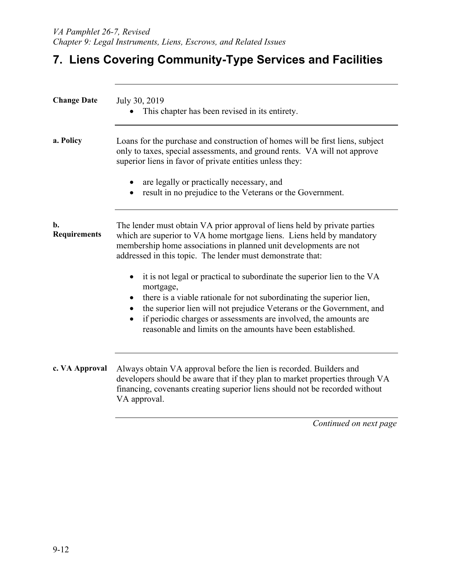### **7. Liens Covering Community-Type Services and Facilities**

| <b>Change Date</b>        | July 30, 2019<br>This chapter has been revised in its entirety.                                                                                                                                                                                                                                                                                                                      |  |
|---------------------------|--------------------------------------------------------------------------------------------------------------------------------------------------------------------------------------------------------------------------------------------------------------------------------------------------------------------------------------------------------------------------------------|--|
| a. Policy                 | Loans for the purchase and construction of homes will be first liens, subject<br>only to taxes, special assessments, and ground rents. VA will not approve<br>superior liens in favor of private entities unless they:<br>are legally or practically necessary, and<br>result in no prejudice to the Veterans or the Government.                                                     |  |
| b.<br><b>Requirements</b> | The lender must obtain VA prior approval of liens held by private parties<br>which are superior to VA home mortgage liens. Liens held by mandatory<br>membership home associations in planned unit developments are not<br>addressed in this topic. The lender must demonstrate that:                                                                                                |  |
|                           | it is not legal or practical to subordinate the superior lien to the VA<br>$\bullet$<br>mortgage,<br>there is a viable rationale for not subordinating the superior lien,<br>the superior lien will not prejudice Veterans or the Government, and<br>if periodic charges or assessments are involved, the amounts are<br>reasonable and limits on the amounts have been established. |  |
| c. VA Approval            | Always obtain VA approval before the lien is recorded. Builders and<br>developers should be aware that if they plan to market properties through VA<br>financing, covenants creating superior liens should not be recorded without<br>VA approval.                                                                                                                                   |  |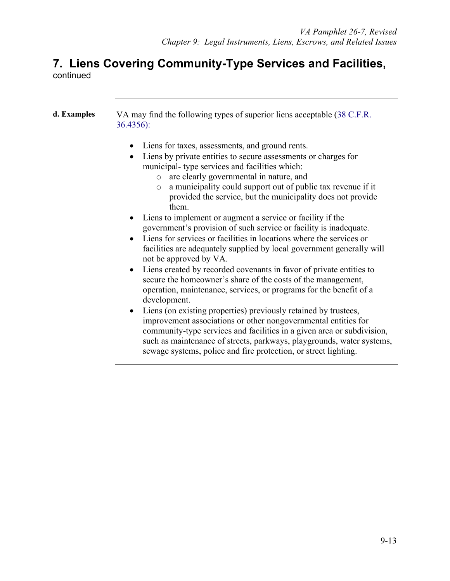### **7. Liens Covering Community-Type Services and Facilities,**  continued

| d. Examples | VA may find the following types of superior liens acceptable (38 C.F.R.<br>$36.4356$ :                                                                                                                                                                                                                                                                                                                                                                                                                                              |  |  |
|-------------|-------------------------------------------------------------------------------------------------------------------------------------------------------------------------------------------------------------------------------------------------------------------------------------------------------------------------------------------------------------------------------------------------------------------------------------------------------------------------------------------------------------------------------------|--|--|
|             | Liens for taxes, assessments, and ground rents.<br>$\bullet$<br>Liens by private entities to secure assessments or charges for<br>$\bullet$<br>municipal-type services and facilities which:<br>are clearly governmental in nature, and<br>$\circ$<br>a municipality could support out of public tax revenue if it<br>$\circ$<br>provided the service, but the municipality does not provide<br>them.                                                                                                                               |  |  |
|             | Liens to implement or augment a service or facility if the<br>government's provision of such service or facility is inadequate.<br>Liens for services or facilities in locations where the services or<br>facilities are adequately supplied by local government generally will<br>not be approved by VA.<br>Liens created by recorded covenants in favor of private entities to<br>$\bullet$<br>secure the homeowner's share of the costs of the management,<br>operation, maintenance, services, or programs for the benefit of a |  |  |
|             | development.<br>• Liens (on existing properties) previously retained by trustees,<br>improvement associations or other nongovernmental entities for<br>community-type services and facilities in a given area or subdivision,<br>such as maintenance of streets, parkways, playgrounds, water systems,<br>sewage systems, police and fire protection, or street lighting.                                                                                                                                                           |  |  |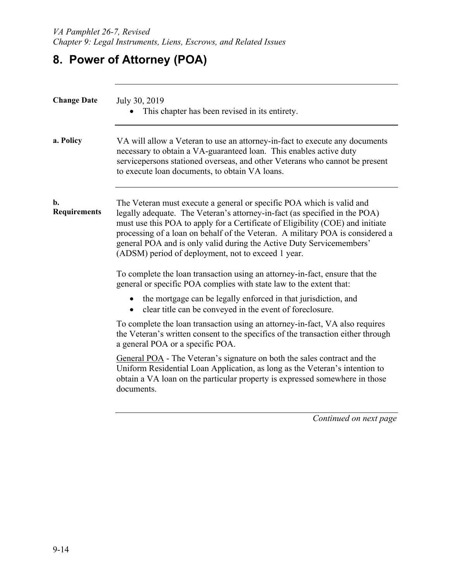# **8. Power of Attorney (POA)**

| <b>Change Date</b>        | July 30, 2019<br>This chapter has been revised in its entirety.                                                                                                                                                                                                                                                                                                                                                                                      |  |
|---------------------------|------------------------------------------------------------------------------------------------------------------------------------------------------------------------------------------------------------------------------------------------------------------------------------------------------------------------------------------------------------------------------------------------------------------------------------------------------|--|
| a. Policy                 | VA will allow a Veteran to use an attorney-in-fact to execute any documents<br>necessary to obtain a VA-guaranteed loan. This enables active duty<br>servicepersons stationed overseas, and other Veterans who cannot be present<br>to execute loan documents, to obtain VA loans.                                                                                                                                                                   |  |
| b.<br><b>Requirements</b> | The Veteran must execute a general or specific POA which is valid and<br>legally adequate. The Veteran's attorney-in-fact (as specified in the POA)<br>must use this POA to apply for a Certificate of Eligibility (COE) and initiate<br>processing of a loan on behalf of the Veteran. A military POA is considered a<br>general POA and is only valid during the Active Duty Servicemembers'<br>(ADSM) period of deployment, not to exceed 1 year. |  |
|                           | To complete the loan transaction using an attorney-in-fact, ensure that the<br>general or specific POA complies with state law to the extent that:                                                                                                                                                                                                                                                                                                   |  |
|                           | the mortgage can be legally enforced in that jurisdiction, and<br>clear title can be conveyed in the event of foreclosure.                                                                                                                                                                                                                                                                                                                           |  |
|                           | To complete the loan transaction using an attorney-in-fact, VA also requires<br>the Veteran's written consent to the specifics of the transaction either through<br>a general POA or a specific POA.                                                                                                                                                                                                                                                 |  |
|                           | General POA - The Veteran's signature on both the sales contract and the<br>Uniform Residential Loan Application, as long as the Veteran's intention to<br>obtain a VA loan on the particular property is expressed somewhere in those<br>documents.                                                                                                                                                                                                 |  |
|                           | Continued on next page                                                                                                                                                                                                                                                                                                                                                                                                                               |  |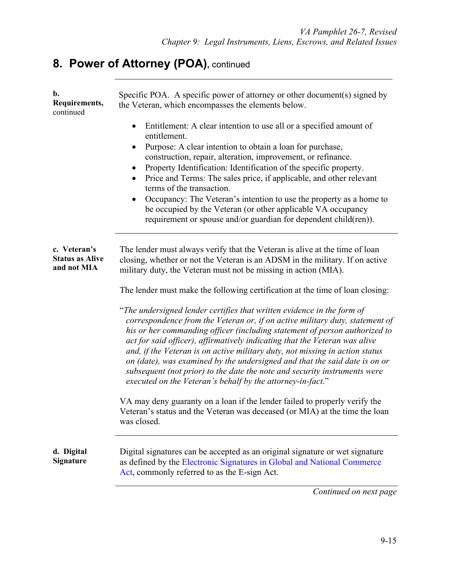# 8. Power of Attorney (POA), continued

| b.<br>Requirements,<br>continued                      | Specific POA. A specific power of attorney or other document(s) signed by<br>the Veteran, which encompasses the elements below.                                                                                                                                                                                                                                                                                                                                                                                                                                                                                               |  |  |
|-------------------------------------------------------|-------------------------------------------------------------------------------------------------------------------------------------------------------------------------------------------------------------------------------------------------------------------------------------------------------------------------------------------------------------------------------------------------------------------------------------------------------------------------------------------------------------------------------------------------------------------------------------------------------------------------------|--|--|
|                                                       | Entitlement: A clear intention to use all or a specified amount of<br>$\bullet$<br>entitlement.<br>Purpose: A clear intention to obtain a loan for purchase,<br>construction, repair, alteration, improvement, or refinance.<br>Property Identification: Identification of the specific property.<br>$\bullet$<br>Price and Terms: The sales price, if applicable, and other relevant<br>terms of the transaction.<br>Occupancy: The Veteran's intention to use the property as a home to<br>be occupied by the Veteran (or other applicable VA occupancy<br>requirement or spouse and/or guardian for dependent child(ren)). |  |  |
| c. Veteran's<br><b>Status as Alive</b><br>and not MIA | The lender must always verify that the Veteran is alive at the time of loan<br>closing, whether or not the Veteran is an ADSM in the military. If on active<br>military duty, the Veteran must not be missing in action (MIA).<br>The lender must make the following certification at the time of loan closing:                                                                                                                                                                                                                                                                                                               |  |  |
|                                                       | "The undersigned lender certifies that written evidence in the form of<br>correspondence from the Veteran or, if on active military duty, statement of<br>his or her commanding officer (including statement of person authorized to<br>act for said officer), affirmatively indicating that the Veteran was alive<br>and, if the Veteran is on active military duty, not missing in action status<br>on (date), was examined by the undersigned and that the said date is on or<br>subsequent (not prior) to the date the note and security instruments were<br>executed on the Veteran's behalf by the attorney-in-fact."   |  |  |
|                                                       | VA may deny guaranty on a loan if the lender failed to properly verify the<br>Veteran's status and the Veteran was deceased (or MIA) at the time the loan<br>was closed.                                                                                                                                                                                                                                                                                                                                                                                                                                                      |  |  |
| d. Digital<br><b>Signature</b>                        | Digital signatures can be accepted as an original signature or wet signature<br>as defined by the Electronic Signatures in Global and National Commerce<br>Act, commonly referred to as the E-sign Act.                                                                                                                                                                                                                                                                                                                                                                                                                       |  |  |
|                                                       | Continued on next page                                                                                                                                                                                                                                                                                                                                                                                                                                                                                                                                                                                                        |  |  |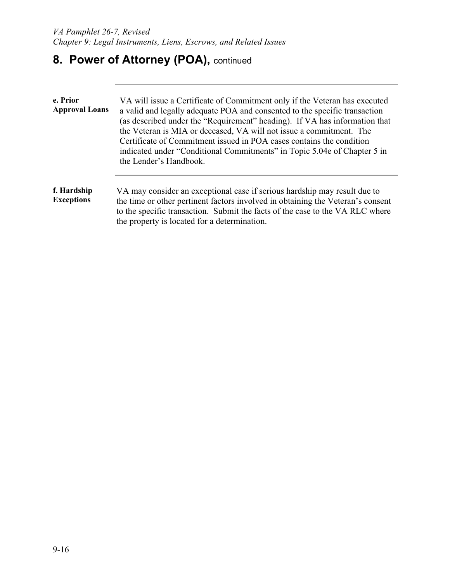# 8. Power of Attorney (POA), continued

| e. Prior<br><b>Approval Loans</b> | VA will issue a Certificate of Commitment only if the Veteran has executed<br>a valid and legally adequate POA and consented to the specific transaction<br>(as described under the "Requirement" heading). If VA has information that<br>the Veteran is MIA or deceased, VA will not issue a commitment. The<br>Certificate of Commitment issued in POA cases contains the condition<br>indicated under "Conditional Commitments" in Topic 5.04e of Chapter 5 in<br>the Lender's Handbook. |
|-----------------------------------|---------------------------------------------------------------------------------------------------------------------------------------------------------------------------------------------------------------------------------------------------------------------------------------------------------------------------------------------------------------------------------------------------------------------------------------------------------------------------------------------|
| f. Hardship<br><b>Exceptions</b>  | VA may consider an exceptional case if serious hardship may result due to<br>the time or other pertinent factors involved in obtaining the Veteran's consent<br>to the specific transaction. Submit the facts of the case to the VA RLC where<br>the property is located for a determination.                                                                                                                                                                                               |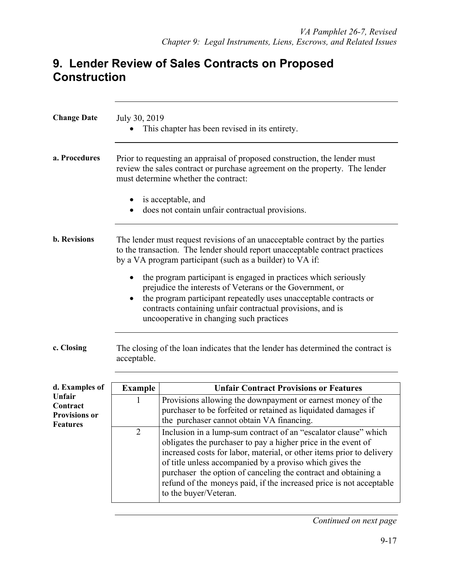### **9. Lender Review of Sales Contracts on Proposed Construction**

| <b>Change Date</b>                                            | July 30, 2019  | This chapter has been revised in its entirety.                                                                                                                                                                                                                                                                                                                                                                                          |
|---------------------------------------------------------------|----------------|-----------------------------------------------------------------------------------------------------------------------------------------------------------------------------------------------------------------------------------------------------------------------------------------------------------------------------------------------------------------------------------------------------------------------------------------|
| a. Procedures                                                 |                | Prior to requesting an appraisal of proposed construction, the lender must<br>review the sales contract or purchase agreement on the property. The lender<br>must determine whether the contract:                                                                                                                                                                                                                                       |
|                                                               | $\bullet$      | is acceptable, and<br>does not contain unfair contractual provisions.                                                                                                                                                                                                                                                                                                                                                                   |
| <b>b.</b> Revisions                                           |                | The lender must request revisions of an unacceptable contract by the parties<br>to the transaction. The lender should report unacceptable contract practices<br>by a VA program participant (such as a builder) to VA if:                                                                                                                                                                                                               |
|                                                               | $\bullet$      | the program participant is engaged in practices which seriously<br>prejudice the interests of Veterans or the Government, or<br>the program participant repeatedly uses unacceptable contracts or<br>contracts containing unfair contractual provisions, and is<br>uncooperative in changing such practices                                                                                                                             |
| c. Closing                                                    | acceptable.    | The closing of the loan indicates that the lender has determined the contract is                                                                                                                                                                                                                                                                                                                                                        |
| d. Examples of                                                | <b>Example</b> | <b>Unfair Contract Provisions or Features</b>                                                                                                                                                                                                                                                                                                                                                                                           |
| Unfair<br>Contract<br><b>Provisions or</b><br><b>Features</b> | 1              | Provisions allowing the downpayment or earnest money of the<br>purchaser to be forfeited or retained as liquidated damages if<br>the purchaser cannot obtain VA financing.                                                                                                                                                                                                                                                              |
|                                                               | $\overline{2}$ | Inclusion in a lump-sum contract of an "escalator clause" which<br>obligates the purchaser to pay a higher price in the event of<br>increased costs for labor, material, or other items prior to delivery<br>of title unless accompanied by a proviso which gives the<br>purchaser the option of canceling the contract and obtaining a<br>refund of the moneys paid, if the increased price is not acceptable<br>to the buyer/Veteran. |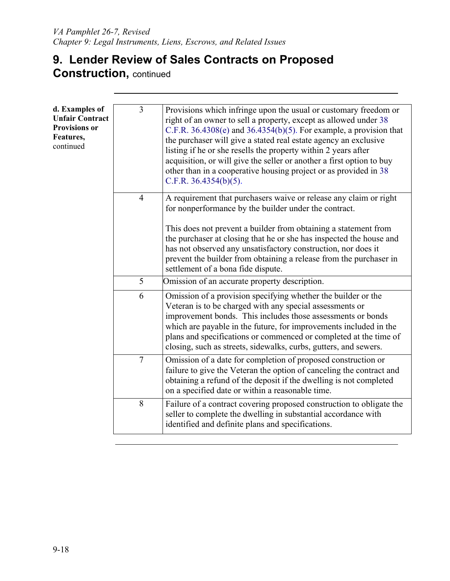### **9. Lender Review of Sales Contracts on Proposed Construction,** continued

| d. Examples of<br><b>Unfair Contract</b><br><b>Provisions or</b><br>Features,<br>continued | $\overline{3}$ | Provisions which infringe upon the usual or customary freedom or<br>right of an owner to sell a property, except as allowed under 38<br>C.F.R. $36.4308(e)$ and $36.4354(b)(5)$ . For example, a provision that<br>the purchaser will give a stated real estate agency an exclusive<br>listing if he or she resells the property within 2 years after<br>acquisition, or will give the seller or another a first option to buy<br>other than in a cooperative housing project or as provided in 38<br>C.F.R. $36.4354(b)(5)$ . |
|--------------------------------------------------------------------------------------------|----------------|--------------------------------------------------------------------------------------------------------------------------------------------------------------------------------------------------------------------------------------------------------------------------------------------------------------------------------------------------------------------------------------------------------------------------------------------------------------------------------------------------------------------------------|
|                                                                                            | $\overline{4}$ | A requirement that purchasers waive or release any claim or right<br>for nonperformance by the builder under the contract.                                                                                                                                                                                                                                                                                                                                                                                                     |
|                                                                                            |                | This does not prevent a builder from obtaining a statement from<br>the purchaser at closing that he or she has inspected the house and<br>has not observed any unsatisfactory construction, nor does it<br>prevent the builder from obtaining a release from the purchaser in<br>settlement of a bona fide dispute.                                                                                                                                                                                                            |
|                                                                                            | 5              | Omission of an accurate property description.                                                                                                                                                                                                                                                                                                                                                                                                                                                                                  |
|                                                                                            | 6              | Omission of a provision specifying whether the builder or the<br>Veteran is to be charged with any special assessments or<br>improvement bonds. This includes those assessments or bonds<br>which are payable in the future, for improvements included in the<br>plans and specifications or commenced or completed at the time of<br>closing, such as streets, sidewalks, curbs, gutters, and sewers.                                                                                                                         |
|                                                                                            | $\overline{7}$ | Omission of a date for completion of proposed construction or<br>failure to give the Veteran the option of canceling the contract and<br>obtaining a refund of the deposit if the dwelling is not completed<br>on a specified date or within a reasonable time.                                                                                                                                                                                                                                                                |
|                                                                                            | 8              | Failure of a contract covering proposed construction to obligate the<br>seller to complete the dwelling in substantial accordance with<br>identified and definite plans and specifications.                                                                                                                                                                                                                                                                                                                                    |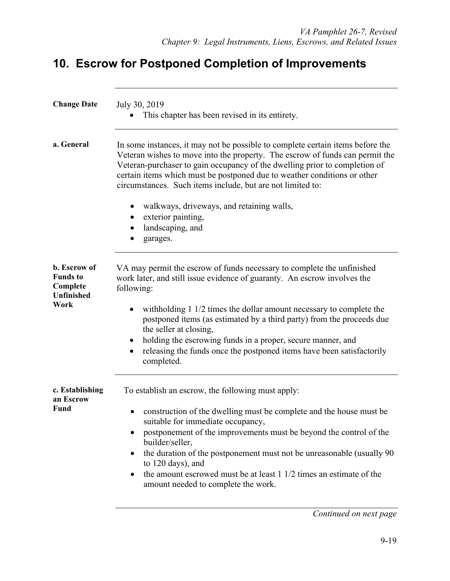### **10. Escrow for Postponed Completion of Improvements**

| <b>Change Date</b>                                                | July 30, 2019<br>This chapter has been revised in its entirety.                                                                                                                                                                                                                                                                                                                        |
|-------------------------------------------------------------------|----------------------------------------------------------------------------------------------------------------------------------------------------------------------------------------------------------------------------------------------------------------------------------------------------------------------------------------------------------------------------------------|
| a. General                                                        | In some instances, it may not be possible to complete certain items before the<br>Veteran wishes to move into the property. The escrow of funds can permit the<br>Veteran-purchaser to gain occupancy of the dwelling prior to completion of<br>certain items which must be postponed due to weather conditions or other<br>circumstances. Such items include, but are not limited to: |
|                                                                   | walkways, driveways, and retaining walls,<br>$\bullet$<br>exterior painting,<br>landscaping, and<br>garages.                                                                                                                                                                                                                                                                           |
| b. Escrow of<br><b>Funds</b> to<br>Complete<br>Unfinished<br>Work | VA may permit the escrow of funds necessary to complete the unfinished<br>work later, and still issue evidence of guaranty. An escrow involves the<br>following:<br>with holding 1 1/2 times the dollar amount necessary to complete the<br>postponed items (as estimated by a third party) from the proceeds due<br>the seller at closing,                                            |
|                                                                   | holding the escrowing funds in a proper, secure manner, and<br>releasing the funds once the postponed items have been satisfactorily<br>completed.                                                                                                                                                                                                                                     |
| c. Establishing<br>an Escrow                                      | To establish an escrow, the following must apply:                                                                                                                                                                                                                                                                                                                                      |
| <b>Fund</b>                                                       | construction of the dwelling must be complete and the house must be<br>suitable for immediate occupancy,<br>postponement of the improvements must be beyond the control of the<br>builder/seller,<br>the duration of the postponement must not be unreasonable (usually 90)<br>to 120 days), and<br>the amount escrowed must be at least 1 1/2 times an estimate of the                |
|                                                                   | amount needed to complete the work.<br>Continued on next page                                                                                                                                                                                                                                                                                                                          |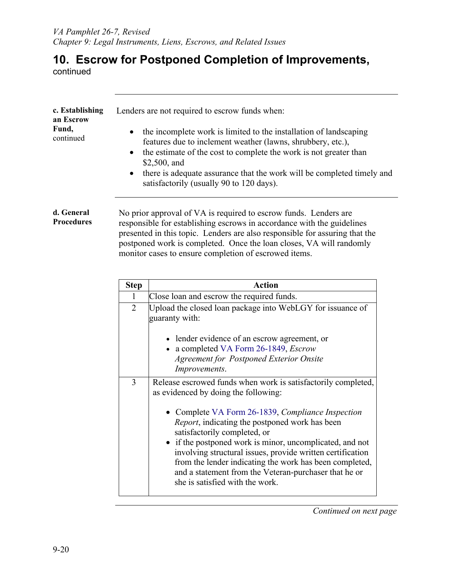## **10. Escrow for Postponed Completion of Improvements,**

continued

| c. Establishing<br>an Escrow<br>Fund,<br>continued |                             | Lenders are not required to escrow funds when:<br>the incomplete work is limited to the installation of landscaping<br>features due to inclement weather (lawns, shrubbery, etc.),<br>the estimate of the cost to complete the work is not greater than<br>\$2,500, and<br>there is adequate assurance that the work will be completed timely and<br>satisfactorily (usually 90 to 120 days).                                                                                                                                                    |
|----------------------------------------------------|-----------------------------|--------------------------------------------------------------------------------------------------------------------------------------------------------------------------------------------------------------------------------------------------------------------------------------------------------------------------------------------------------------------------------------------------------------------------------------------------------------------------------------------------------------------------------------------------|
| d. General<br><b>Procedures</b>                    | <b>Step</b><br>$\mathbf{1}$ | No prior approval of VA is required to escrow funds. Lenders are<br>responsible for establishing escrows in accordance with the guidelines<br>presented in this topic. Lenders are also responsible for assuring that the<br>postponed work is completed. Once the loan closes, VA will randomly<br>monitor cases to ensure completion of escrowed items.<br><b>Action</b><br>Close loan and escrow the required funds.                                                                                                                          |
|                                                    | $\overline{2}$              | Upload the closed loan package into WebLGY for issuance of                                                                                                                                                                                                                                                                                                                                                                                                                                                                                       |
|                                                    |                             | guaranty with:<br>• lender evidence of an escrow agreement, or<br>• a completed VA Form 26-1849, <i>Escrow</i><br><b>Agreement for Postponed Exterior Onsite</b><br>Improvements.                                                                                                                                                                                                                                                                                                                                                                |
|                                                    | $\overline{3}$              | Release escrowed funds when work is satisfactorily completed,<br>as evidenced by doing the following:<br>• Complete VA Form 26-1839, Compliance Inspection<br><i>Report</i> , indicating the postponed work has been<br>satisfactorily completed, or<br>if the postponed work is minor, uncomplicated, and not<br>$\bullet$<br>involving structural issues, provide written certification<br>from the lender indicating the work has been completed,<br>and a statement from the Veteran-purchaser that he or<br>she is satisfied with the work. |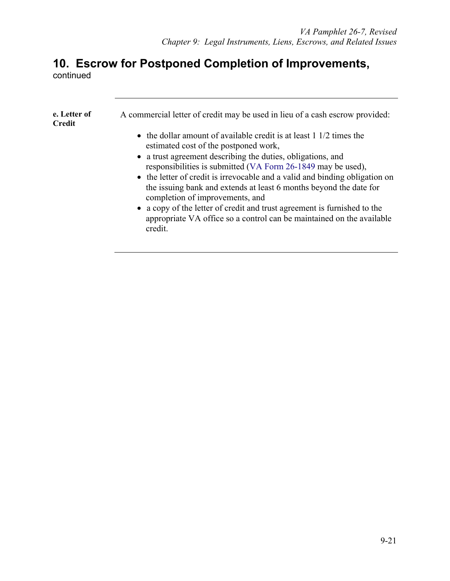## **10. Escrow for Postponed Completion of Improvements,**

continued

| e. Letter of<br>Credit | A commercial letter of credit may be used in lieu of a cash escrow provided:<br>• the dollar amount of available credit is at least $1/2$ times the<br>estimated cost of the postponed work,<br>• a trust agreement describing the duties, obligations, and<br>responsibilities is submitted (VA Form 26-1849 may be used),<br>• the letter of credit is irrevocable and a valid and binding obligation on<br>the issuing bank and extends at least 6 months beyond the date for<br>completion of improvements, and<br>• a copy of the letter of credit and trust agreement is furnished to the |
|------------------------|-------------------------------------------------------------------------------------------------------------------------------------------------------------------------------------------------------------------------------------------------------------------------------------------------------------------------------------------------------------------------------------------------------------------------------------------------------------------------------------------------------------------------------------------------------------------------------------------------|
|                        | appropriate VA office so a control can be maintained on the available<br>credit.                                                                                                                                                                                                                                                                                                                                                                                                                                                                                                                |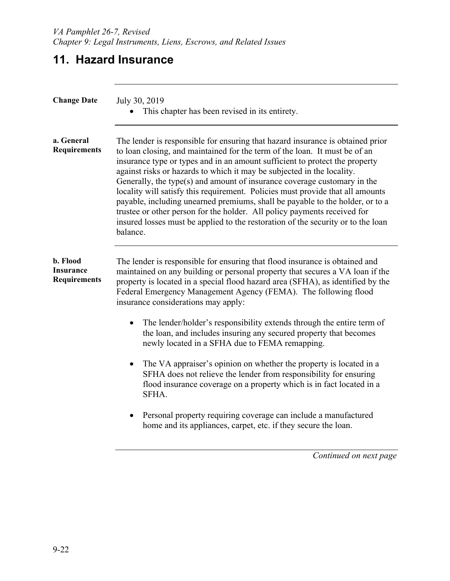## **11. Hazard Insurance**

| <b>Change Date</b>                           | July 30, 2019<br>This chapter has been revised in its entirety.                                                                                                                                                                                                                                                                                                                                                                                                                                                                                                                                                                                                                                                                                  |  |
|----------------------------------------------|--------------------------------------------------------------------------------------------------------------------------------------------------------------------------------------------------------------------------------------------------------------------------------------------------------------------------------------------------------------------------------------------------------------------------------------------------------------------------------------------------------------------------------------------------------------------------------------------------------------------------------------------------------------------------------------------------------------------------------------------------|--|
| a. General<br><b>Requirements</b>            | The lender is responsible for ensuring that hazard insurance is obtained prior<br>to loan closing, and maintained for the term of the loan. It must be of an<br>insurance type or types and in an amount sufficient to protect the property<br>against risks or hazards to which it may be subjected in the locality.<br>Generally, the type(s) and amount of insurance coverage customary in the<br>locality will satisfy this requirement. Policies must provide that all amounts<br>payable, including unearned premiums, shall be payable to the holder, or to a<br>trustee or other person for the holder. All policy payments received for<br>insured losses must be applied to the restoration of the security or to the loan<br>balance. |  |
| b. Flood<br>Insurance<br><b>Requirements</b> | The lender is responsible for ensuring that flood insurance is obtained and<br>maintained on any building or personal property that secures a VA loan if the<br>property is located in a special flood hazard area (SFHA), as identified by the<br>Federal Emergency Management Agency (FEMA). The following flood<br>insurance considerations may apply:                                                                                                                                                                                                                                                                                                                                                                                        |  |
|                                              | The lender/holder's responsibility extends through the entire term of<br>the loan, and includes insuring any secured property that becomes<br>newly located in a SFHA due to FEMA remapping.                                                                                                                                                                                                                                                                                                                                                                                                                                                                                                                                                     |  |
|                                              | The VA appraiser's opinion on whether the property is located in a<br>SFHA does not relieve the lender from responsibility for ensuring<br>flood insurance coverage on a property which is in fact located in a<br>SFHA.                                                                                                                                                                                                                                                                                                                                                                                                                                                                                                                         |  |
|                                              | Personal property requiring coverage can include a manufactured<br>home and its appliances, carpet, etc. if they secure the loan.                                                                                                                                                                                                                                                                                                                                                                                                                                                                                                                                                                                                                |  |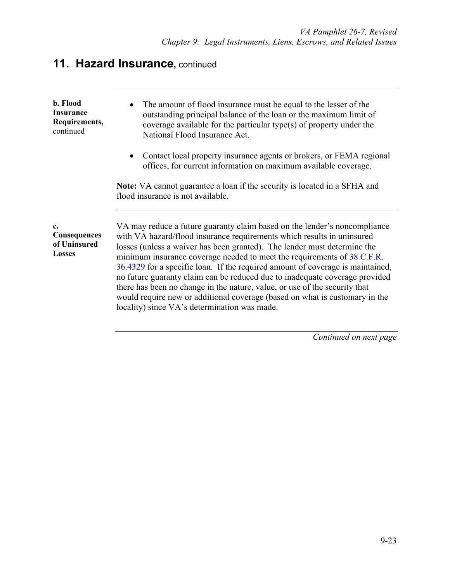## **11. Hazard Insurance, continued**

| b. Flood<br><b>Insurance</b><br>Requirements,<br>continued   | The amount of flood insurance must be equal to the lesser of the<br>outstanding principal balance of the loan or the maximum limit of<br>coverage available for the particular type(s) of property under the<br>National Flood Insurance Act.                                                                                                                                                                                                                                                                                                                                                                                                                                            |
|--------------------------------------------------------------|------------------------------------------------------------------------------------------------------------------------------------------------------------------------------------------------------------------------------------------------------------------------------------------------------------------------------------------------------------------------------------------------------------------------------------------------------------------------------------------------------------------------------------------------------------------------------------------------------------------------------------------------------------------------------------------|
|                                                              | Contact local property insurance agents or brokers, or FEMA regional<br>offices, for current information on maximum available coverage.                                                                                                                                                                                                                                                                                                                                                                                                                                                                                                                                                  |
|                                                              | Note: VA cannot guarantee a loan if the security is located in a SFHA and<br>flood insurance is not available.                                                                                                                                                                                                                                                                                                                                                                                                                                                                                                                                                                           |
| $c_{\cdot}$<br>Consequences<br>of Uninsured<br><b>Losses</b> | VA may reduce a future guaranty claim based on the lender's noncompliance<br>with VA hazard/flood insurance requirements which results in uninsured<br>losses (unless a waiver has been granted). The lender must determine the<br>minimum insurance coverage needed to meet the requirements of 38 C.F.R.<br>36.4329 for a specific loan. If the required amount of coverage is maintained,<br>no future guaranty claim can be reduced due to inadequate coverage provided<br>there has been no change in the nature, value, or use of the security that<br>would require new or additional coverage (based on what is customary in the<br>locality) since VA's determination was made. |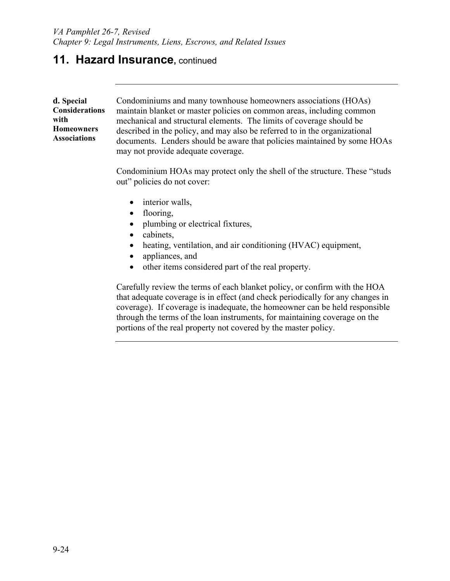### **11. Hazard Insurance, continued**

| d. Special                               | Condominiums and many townhouse homeowners associations (HOAs)             |
|------------------------------------------|----------------------------------------------------------------------------|
| <b>Considerations</b>                    | maintain blanket or master policies on common areas, including common      |
| with                                     | mechanical and structural elements. The limits of coverage should be       |
| <b>Homeowners</b><br><b>Associations</b> | described in the policy, and may also be referred to in the organizational |
|                                          | documents. Lenders should be aware that policies maintained by some HOAs   |
|                                          | may not provide adequate coverage.                                         |

Condominium HOAs may protect only the shell of the structure. These "studs out" policies do not cover:

- interior walls,
- flooring,
- plumbing or electrical fixtures,
- cabinets,
- heating, ventilation, and air conditioning (HVAC) equipment,
- appliances, and
- other items considered part of the real property.

Carefully review the terms of each blanket policy, or confirm with the HOA that adequate coverage is in effect (and check periodically for any changes in coverage). If coverage is inadequate, the homeowner can be held responsible through the terms of the loan instruments, for maintaining coverage on the portions of the real property not covered by the master policy.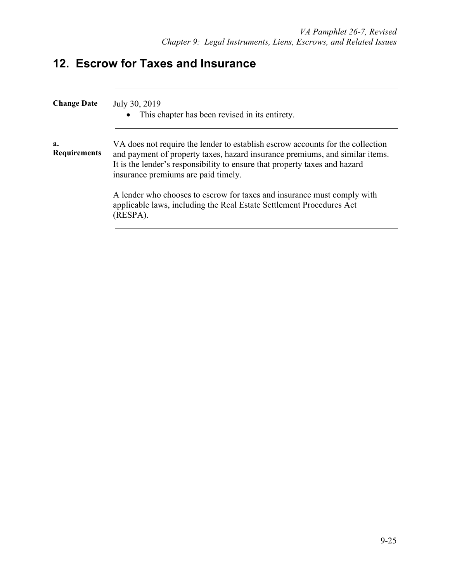## **12. Escrow for Taxes and Insurance**

| <b>Change Date</b>        | July 30, 2019<br>This chapter has been revised in its entirety.<br>$\bullet$                                                                                                                                                                                                        |
|---------------------------|-------------------------------------------------------------------------------------------------------------------------------------------------------------------------------------------------------------------------------------------------------------------------------------|
| a.<br><b>Requirements</b> | VA does not require the lender to establish escrow accounts for the collection<br>and payment of property taxes, hazard insurance premiums, and similar items.<br>It is the lender's responsibility to ensure that property taxes and hazard<br>insurance premiums are paid timely. |
|                           | A lender who chooses to escrow for taxes and insurance must comply with<br>applicable laws, including the Real Estate Settlement Procedures Act<br>(RESPA).                                                                                                                         |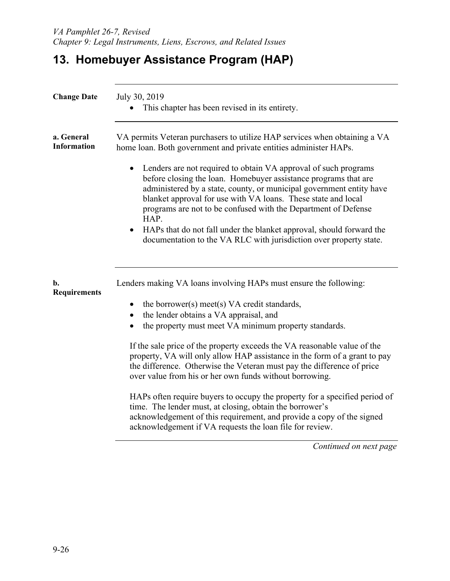# **13. Homebuyer Assistance Program (HAP)**

| <b>Change Date</b>               | July 30, 2019<br>This chapter has been revised in its entirety.                                                                                                                                                                                                                                                                                       |
|----------------------------------|-------------------------------------------------------------------------------------------------------------------------------------------------------------------------------------------------------------------------------------------------------------------------------------------------------------------------------------------------------|
| a. General<br><b>Information</b> | VA permits Veteran purchasers to utilize HAP services when obtaining a VA<br>home loan. Both government and private entities administer HAPs.                                                                                                                                                                                                         |
|                                  | Lenders are not required to obtain VA approval of such programs<br>before closing the loan. Homebuyer assistance programs that are<br>administered by a state, county, or municipal government entity have<br>blanket approval for use with VA loans. These state and local<br>programs are not to be confused with the Department of Defense<br>HAP. |
|                                  | • HAPs that do not fall under the blanket approval, should forward the<br>documentation to the VA RLC with jurisdiction over property state.                                                                                                                                                                                                          |
| b.<br><b>Requirements</b>        | Lenders making VA loans involving HAPs must ensure the following:                                                                                                                                                                                                                                                                                     |
|                                  | the borrower(s) meet(s) VA credit standards,<br>$\bullet$                                                                                                                                                                                                                                                                                             |
|                                  | the lender obtains a VA appraisal, and<br>$\bullet$                                                                                                                                                                                                                                                                                                   |
|                                  | the property must meet VA minimum property standards.                                                                                                                                                                                                                                                                                                 |
|                                  | If the sale price of the property exceeds the VA reasonable value of the<br>property, VA will only allow HAP assistance in the form of a grant to pay<br>the difference. Otherwise the Veteran must pay the difference of price<br>over value from his or her own funds without borrowing.                                                            |
|                                  | HAPs often require buyers to occupy the property for a specified period of<br>time. The lender must, at closing, obtain the borrower's<br>acknowledgement of this requirement, and provide a copy of the signed<br>acknowledgement if VA requests the loan file for review.                                                                           |